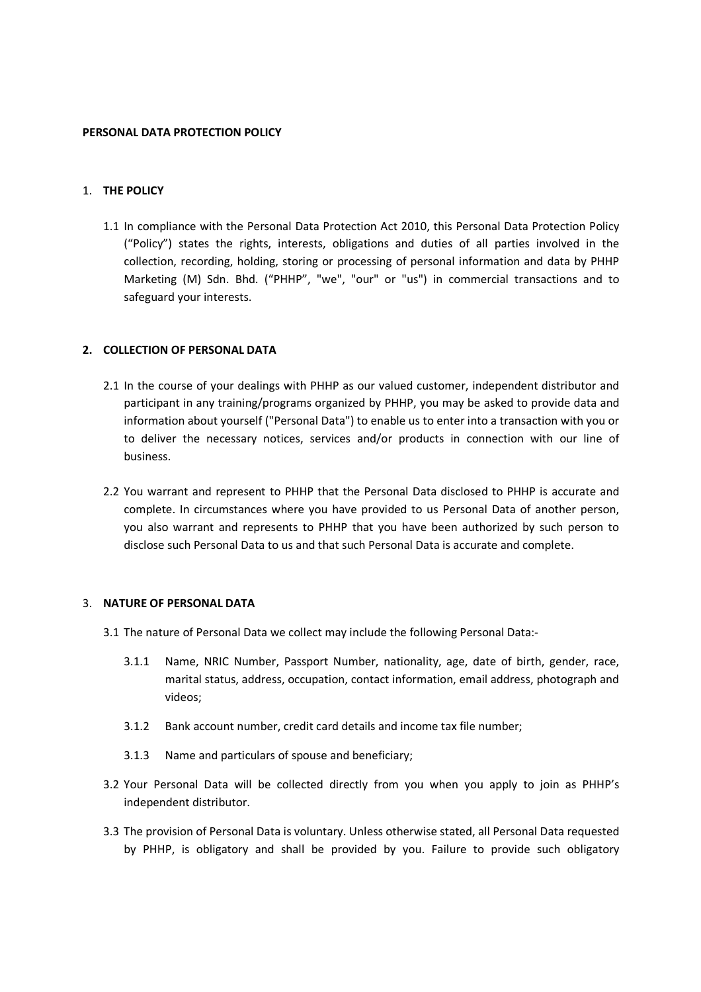#### **PERSONAL DATA PROTECTION POLICY**

## 1. **THE POLICY**

1.1 In compliance with the Personal Data Protection Act 2010, this Personal Data Protection Policy ("Policy") states the rights, interests, obligations and duties of all parties involved in the collection, recording, holding, storing or processing of personal information and data by PHHP Marketing (M) Sdn. Bhd. ("PHHP", "we", "our" or "us") in commercial transactions and to safeguard your interests.

## **2. COLLECTION OF PERSONAL DATA**

- 2.1 In the course of your dealings with PHHP as our valued customer, independent distributor and participant in any training/programs organized by PHHP, you may be asked to provide data and information about yourself ("Personal Data") to enable us to enter into a transaction with you or to deliver the necessary notices, services and/or products in connection with our line of business.
- 2.2 You warrant and represent to PHHP that the Personal Data disclosed to PHHP is accurate and complete. In circumstances where you have provided to us Personal Data of another person, you also warrant and represents to PHHP that you have been authorized by such person to disclose such Personal Data to us and that such Personal Data is accurate and complete.

#### 3. **NATURE OF PERSONAL DATA**

- 3.1 The nature of Personal Data we collect may include the following Personal Data:-
	- 3.1.1 Name, NRIC Number, Passport Number, nationality, age, date of birth, gender, race, marital status, address, occupation, contact information, email address, photograph and videos;
	- 3.1.2 Bank account number, credit card details and income tax file number;
	- 3.1.3 Name and particulars of spouse and beneficiary;
- 3.2 Your Personal Data will be collected directly from you when you apply to join as PHHP's independent distributor.
- 3.3 The provision of Personal Data is voluntary. Unless otherwise stated, all Personal Data requested by PHHP, is obligatory and shall be provided by you. Failure to provide such obligatory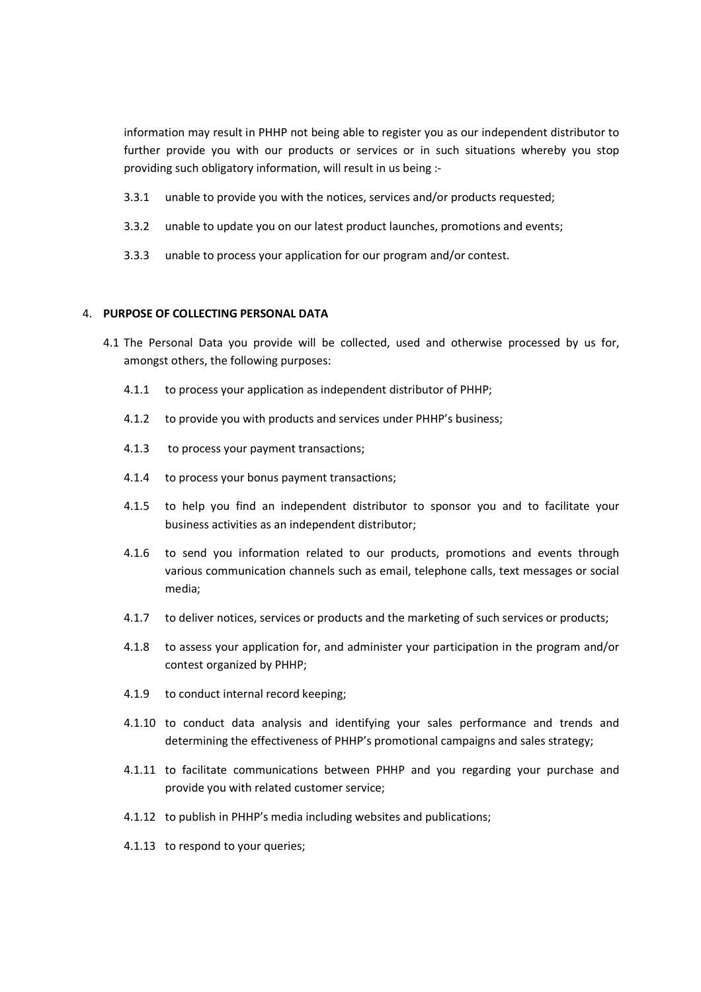information may result in PHHP not being able to register you as our independent distributor to further provide you with our products or services or in such situations whereby you stop providing such obligatory information, will result in us being :-

- 3.3.1 unable to provide you with the notices, services and/or products requested;
- 3.3.2 unable to update you on our latest product launches, promotions and events;
- 3.3.3 unable to process your application for our program and/or contest.

#### 4. **PURPOSE OF COLLECTING PERSONAL DATA**

- 4.1 The Personal Data you provide will be collected, used and otherwise processed by us for, amongst others, the following purposes:
	- 4.1.1 to process your application as independent distributor of PHHP;
	- 4.1.2 to provide you with products and services under PHHP's business;
	- 4.1.3 to process your payment transactions;
	- 4.1.4 to process your bonus payment transactions;
	- 4.1.5 to help you find an independent distributor to sponsor you and to facilitate your business activities as an independent distributor;
	- 4.1.6 to send you information related to our products, promotions and events through various communication channels such as email, telephone calls, text messages or social media;
	- 4.1.7 to deliver notices, services or products and the marketing of such services or products;
	- 4.1.8 to assess your application for, and administer your participation in the program and/or contest organized by PHHP;
	- 4.1.9 to conduct internal record keeping;
	- 4.1.10 to conduct data analysis and identifying your sales performance and trends and determining the effectiveness of PHHP's promotional campaigns and sales strategy;
	- 4.1.11 to facilitate communications between PHHP and you regarding your purchase and provide you with related customer service;
	- 4.1.12 to publish in PHHP's media including websites and publications;
	- 4.1.13 to respond to your queries;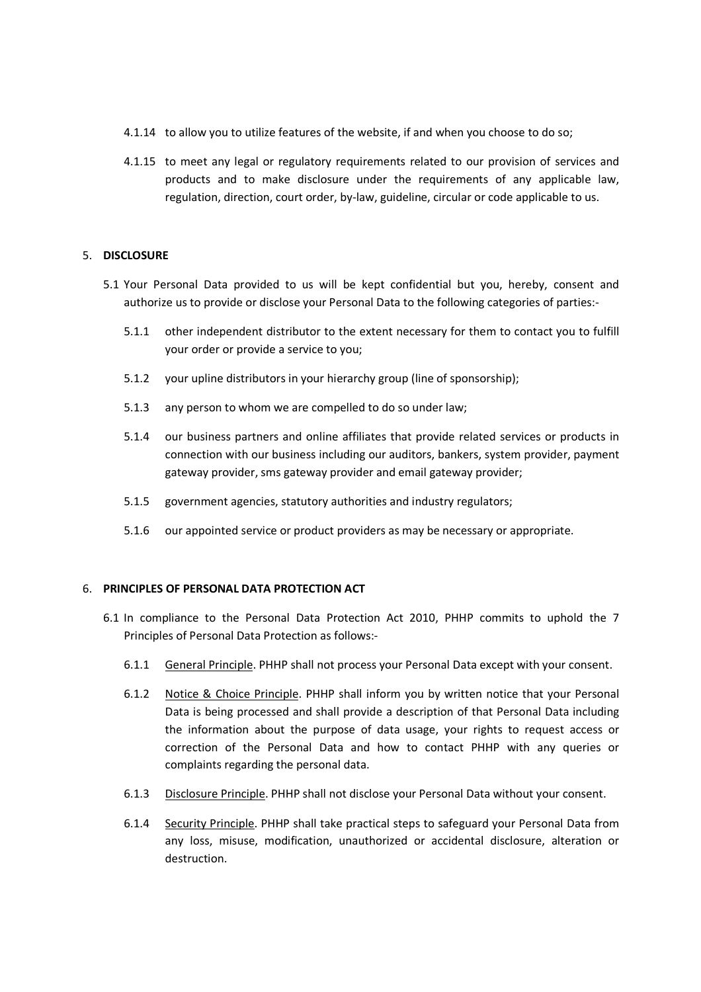- 4.1.14 to allow you to utilize features of the website, if and when you choose to do so;
- 4.1.15 to meet any legal or regulatory requirements related to our provision of services and products and to make disclosure under the requirements of any applicable law, regulation, direction, court order, by-law, guideline, circular or code applicable to us.

## 5. **DISCLOSURE**

- 5.1 Your Personal Data provided to us will be kept confidential but you, hereby, consent and authorize us to provide or disclose your Personal Data to the following categories of parties:-
	- 5.1.1 other independent distributor to the extent necessary for them to contact you to fulfill your order or provide a service to you;
	- 5.1.2 your upline distributors in your hierarchy group (line of sponsorship);
	- 5.1.3 any person to whom we are compelled to do so under law;
	- 5.1.4 our business partners and online affiliates that provide related services or products in connection with our business including our auditors, bankers, system provider, payment gateway provider, sms gateway provider and email gateway provider;
	- 5.1.5 government agencies, statutory authorities and industry regulators;
	- 5.1.6 our appointed service or product providers as may be necessary or appropriate.

#### 6. **PRINCIPLES OF PERSONAL DATA PROTECTION ACT**

- 6.1 In compliance to the Personal Data Protection Act 2010, PHHP commits to uphold the 7 Principles of Personal Data Protection as follows:-
	- 6.1.1 General Principle. PHHP shall not process your Personal Data except with your consent.
	- 6.1.2 Notice & Choice Principle. PHHP shall inform you by written notice that your Personal Data is being processed and shall provide a description of that Personal Data including the information about the purpose of data usage, your rights to request access or correction of the Personal Data and how to contact PHHP with any queries or complaints regarding the personal data.
	- 6.1.3 Disclosure Principle. PHHP shall not disclose your Personal Data without your consent.
	- 6.1.4 Security Principle. PHHP shall take practical steps to safeguard your Personal Data from any loss, misuse, modification, unauthorized or accidental disclosure, alteration or destruction.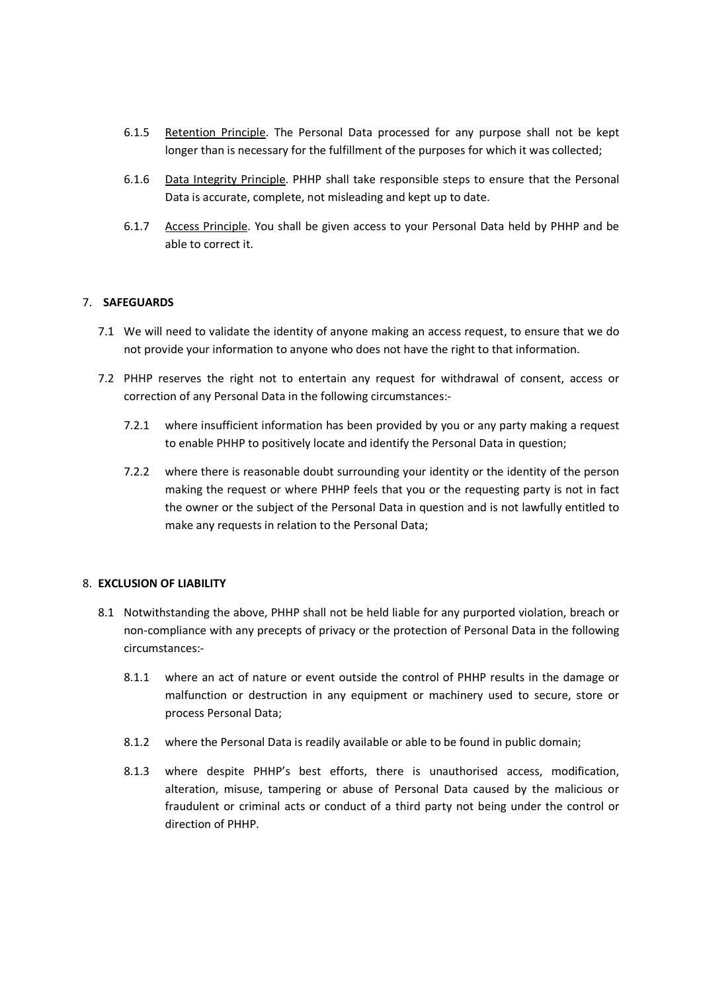- 6.1.5 Retention Principle. The Personal Data processed for any purpose shall not be kept longer than is necessary for the fulfillment of the purposes for which it was collected;
- 6.1.6 Data Integrity Principle. PHHP shall take responsible steps to ensure that the Personal Data is accurate, complete, not misleading and kept up to date.
- 6.1.7 Access Principle. You shall be given access to your Personal Data held by PHHP and be able to correct it.

# 7. **SAFEGUARDS**

- 7.1 We will need to validate the identity of anyone making an access request, to ensure that we do not provide your information to anyone who does not have the right to that information.
- 7.2 PHHP reserves the right not to entertain any request for withdrawal of consent, access or correction of any Personal Data in the following circumstances:-
	- 7.2.1 where insufficient information has been provided by you or any party making a request to enable PHHP to positively locate and identify the Personal Data in question;
	- 7.2.2 where there is reasonable doubt surrounding your identity or the identity of the person making the request or where PHHP feels that you or the requesting party is not in fact the owner or the subject of the Personal Data in question and is not lawfully entitled to make any requests in relation to the Personal Data;

## 8. **EXCLUSION OF LIABILITY**

- 8.1 Notwithstanding the above, PHHP shall not be held liable for any purported violation, breach or non-compliance with any precepts of privacy or the protection of Personal Data in the following circumstances:-
	- 8.1.1 where an act of nature or event outside the control of PHHP results in the damage or malfunction or destruction in any equipment or machinery used to secure, store or process Personal Data;
	- 8.1.2 where the Personal Data is readily available or able to be found in public domain;
	- 8.1.3 where despite PHHP's best efforts, there is unauthorised access, modification, alteration, misuse, tampering or abuse of Personal Data caused by the malicious or fraudulent or criminal acts or conduct of a third party not being under the control or direction of PHHP.